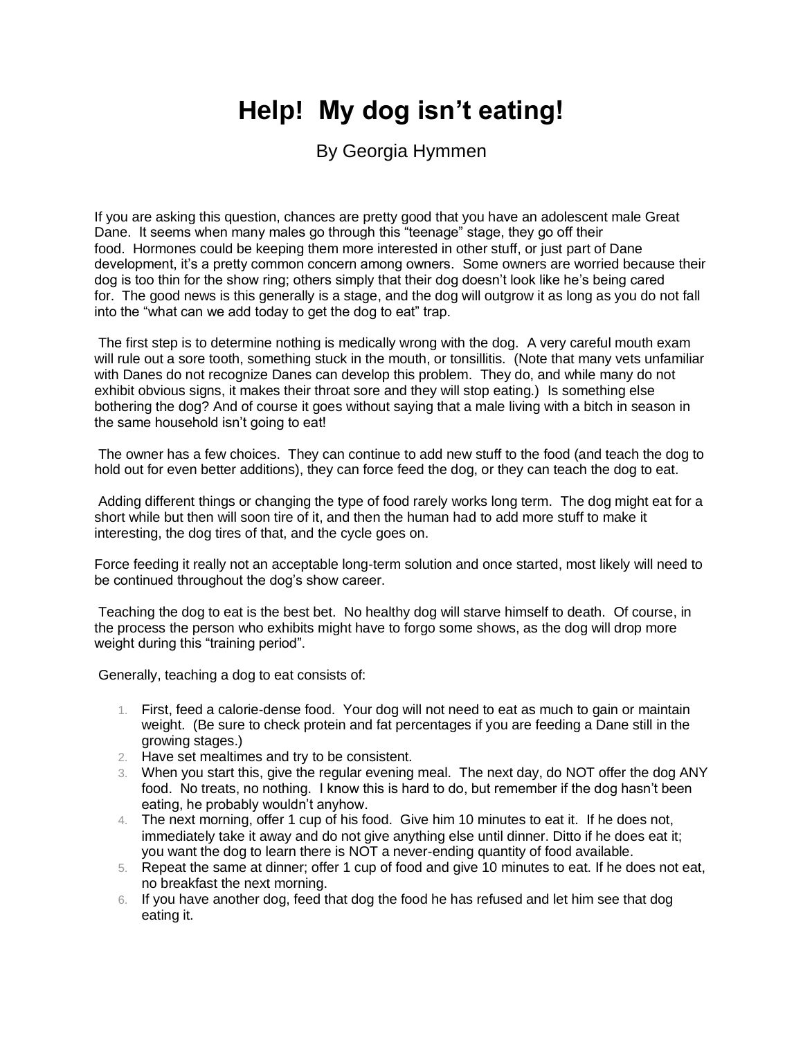## **Help! My dog isn't eating!**

By Georgia Hymmen

If you are asking this question, chances are pretty good that you have an adolescent male Great Dane. It seems when many males go through this "teenage" stage, they go off their food. Hormones could be keeping them more interested in other stuff, or just part of Dane development, it's a pretty common concern among owners. Some owners are worried because their dog is too thin for the show ring; others simply that their dog doesn't look like he's being cared for. The good news is this generally is a stage, and the dog will outgrow it as long as you do not fall into the "what can we add today to get the dog to eat" trap.

The first step is to determine nothing is medically wrong with the dog. A very careful mouth exam will rule out a sore tooth, something stuck in the mouth, or tonsillitis. (Note that many vets unfamiliar with Danes do not recognize Danes can develop this problem. They do, and while many do not exhibit obvious signs, it makes their throat sore and they will stop eating.) Is something else bothering the dog? And of course it goes without saying that a male living with a bitch in season in the same household isn't going to eat!

The owner has a few choices. They can continue to add new stuff to the food (and teach the dog to hold out for even better additions), they can force feed the dog, or they can teach the dog to eat.

Adding different things or changing the type of food rarely works long term. The dog might eat for a short while but then will soon tire of it, and then the human had to add more stuff to make it interesting, the dog tires of that, and the cycle goes on.

Force feeding it really not an acceptable long-term solution and once started, most likely will need to be continued throughout the dog's show career.

Teaching the dog to eat is the best bet. No healthy dog will starve himself to death. Of course, in the process the person who exhibits might have to forgo some shows, as the dog will drop more weight during this "training period".

Generally, teaching a dog to eat consists of:

- 1. First, feed a calorie-dense food. Your dog will not need to eat as much to gain or maintain weight. (Be sure to check protein and fat percentages if you are feeding a Dane still in the growing stages.)
- 2. Have set mealtimes and try to be consistent.
- 3. When you start this, give the regular evening meal. The next day, do NOT offer the dog ANY food. No treats, no nothing. I know this is hard to do, but remember if the dog hasn't been eating, he probably wouldn't anyhow.
- 4. The next morning, offer 1 cup of his food. Give him 10 minutes to eat it. If he does not, immediately take it away and do not give anything else until dinner. Ditto if he does eat it; you want the dog to learn there is NOT a never-ending quantity of food available.
- 5. Repeat the same at dinner; offer 1 cup of food and give 10 minutes to eat. If he does not eat, no breakfast the next morning.
- 6. If you have another dog, feed that dog the food he has refused and let him see that dog eating it.